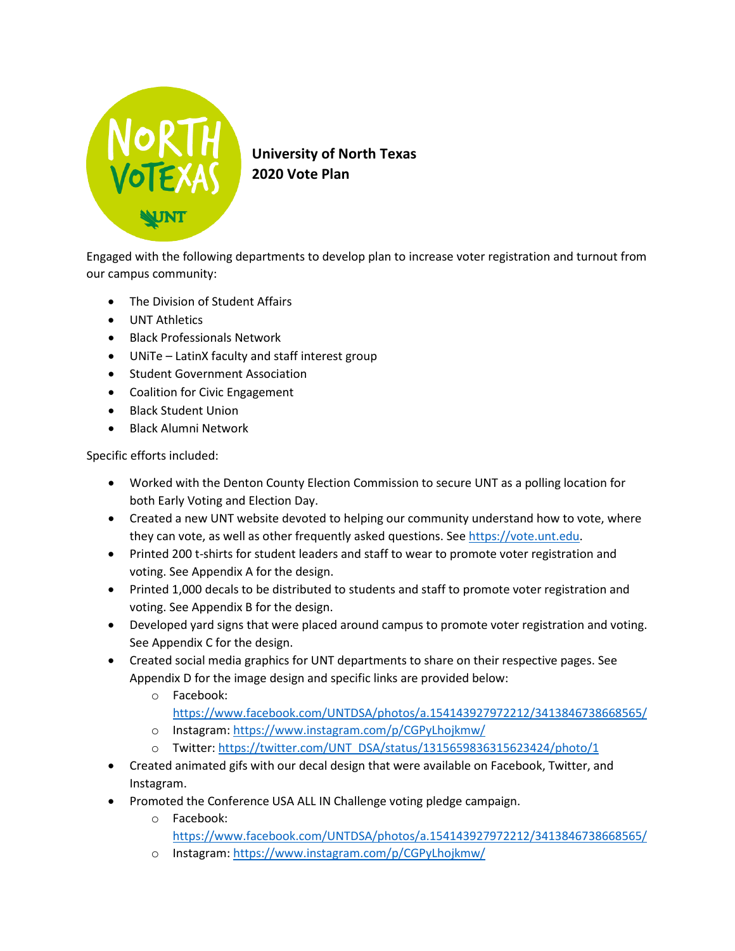

**University of North Texas 2020 Vote Plan**

Engaged with the following departments to develop plan to increase voter registration and turnout from our campus community:

- The Division of Student Affairs
- UNT Athletics
- Black Professionals Network
- UNiTe LatinX faculty and staff interest group
- Student Government Association
- Coalition for Civic Engagement
- Black Student Union
- Black Alumni Network

Specific efforts included:

- Worked with the Denton County Election Commission to secure UNT as a polling location for both Early Voting and Election Day.
- Created a new UNT website devoted to helping our community understand how to vote, where they can vote, as well as other frequently asked questions. Se[e https://vote.unt.edu.](https://vote.unt.edu/)
- Printed 200 t-shirts for student leaders and staff to wear to promote voter registration and voting. See Appendix A for the design.
- Printed 1,000 decals to be distributed to students and staff to promote voter registration and voting. See Appendix B for the design.
- Developed yard signs that were placed around campus to promote voter registration and voting. See Appendix C for the design.
- Created social media graphics for UNT departments to share on their respective pages. See Appendix D for the image design and specific links are provided below:
	- o Facebook: <https://www.facebook.com/UNTDSA/photos/a.154143927972212/3413846738668565/>
	- o Instagram:<https://www.instagram.com/p/CGPyLhojkmw/>
	- o Twitter: [https://twitter.com/UNT\\_DSA/status/1315659836315623424/photo/1](https://twitter.com/UNT_DSA/status/1315659836315623424/photo/1)
- Created animated gifs with our decal design that were available on Facebook, Twitter, and Instagram.
- Promoted the Conference USA ALL IN Challenge voting pledge campaign.
	- o Facebook:
		- <https://www.facebook.com/UNTDSA/photos/a.154143927972212/3413846738668565/>
	- o Instagram:<https://www.instagram.com/p/CGPyLhojkmw/>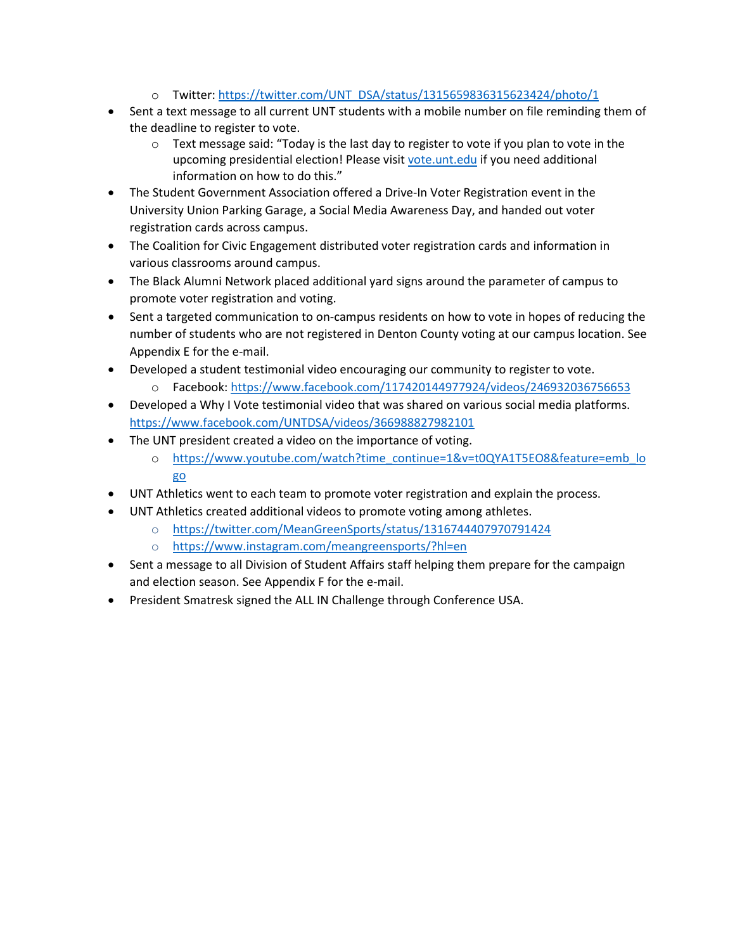- o Twitter: [https://twitter.com/UNT\\_DSA/status/1315659836315623424/photo/1](https://twitter.com/UNT_DSA/status/1315659836315623424/photo/1)
- Sent a text message to all current UNT students with a mobile number on file reminding them of the deadline to register to vote.
	- $\circ$  Text message said: "Today is the last day to register to vote if you plan to vote in the upcoming presidential election! Please visit [vote.unt.edu](http://vote.unt.edu/) if you need additional information on how to do this."
- The Student Government Association offered a Drive-In Voter Registration event in the University Union Parking Garage, a Social Media Awareness Day, and handed out voter registration cards across campus.
- The Coalition for Civic Engagement distributed voter registration cards and information in various classrooms around campus.
- The Black Alumni Network placed additional yard signs around the parameter of campus to promote voter registration and voting.
- Sent a targeted communication to on-campus residents on how to vote in hopes of reducing the number of students who are not registered in Denton County voting at our campus location. See Appendix E for the e-mail.
- Developed a student testimonial video encouraging our community to register to vote.
	- o Facebook:<https://www.facebook.com/117420144977924/videos/246932036756653>
- Developed a Why I Vote testimonial video that was shared on various social media platforms. <https://www.facebook.com/UNTDSA/videos/366988827982101>
- The UNT president created a video on the importance of voting.
	- o [https://www.youtube.com/watch?time\\_continue=1&v=t0QYA1T5EO8&feature=emb\\_lo](https://www.youtube.com/watch?time_continue=1&v=t0QYA1T5EO8&feature=emb_logo) [go](https://www.youtube.com/watch?time_continue=1&v=t0QYA1T5EO8&feature=emb_logo)
- UNT Athletics went to each team to promote voter registration and explain the process.
- UNT Athletics created additional videos to promote voting among athletes.
	- o [https://twitter.com/MeanGreenSports/status/1316744407970791424](https://nam04.safelinks.protection.outlook.com/?url=https%3A%2F%2Ftwitter.com%2FMeanGreenSports%2Fstatus%2F1316744407970791424&data=02%7C01%7CMelissa.McGuire%40unt.edu%7C1b93023b0cf046c577b708d8712b071a%7C70de199207c6480fa318a1afcba03983%7C0%7C0%7C637383776904748456&sdata=rUmn5hdhVSPL8KRtR56rfU9U3uG5CqdcB%2FPxvZru3Ho%3D&reserved=0)
	- o [https://www.instagram.com/meangreensports/?hl=en](https://nam04.safelinks.protection.outlook.com/?url=https%3A%2F%2Fwww.instagram.com%2Fmeangreensports%2F%3Fhl%3Den&data=02%7C01%7CMelissa.McGuire%40unt.edu%7C1b93023b0cf046c577b708d8712b071a%7C70de199207c6480fa318a1afcba03983%7C0%7C0%7C637383776904748456&sdata=BhWC1uaDdcpmvA3S0aXrFdDhpYHuRtbVNyROSu8waCU%3D&reserved=0)
- Sent a message to all Division of Student Affairs staff helping them prepare for the campaign and election season. See Appendix F for the e-mail.
- President Smatresk signed the ALL IN Challenge through Conference USA.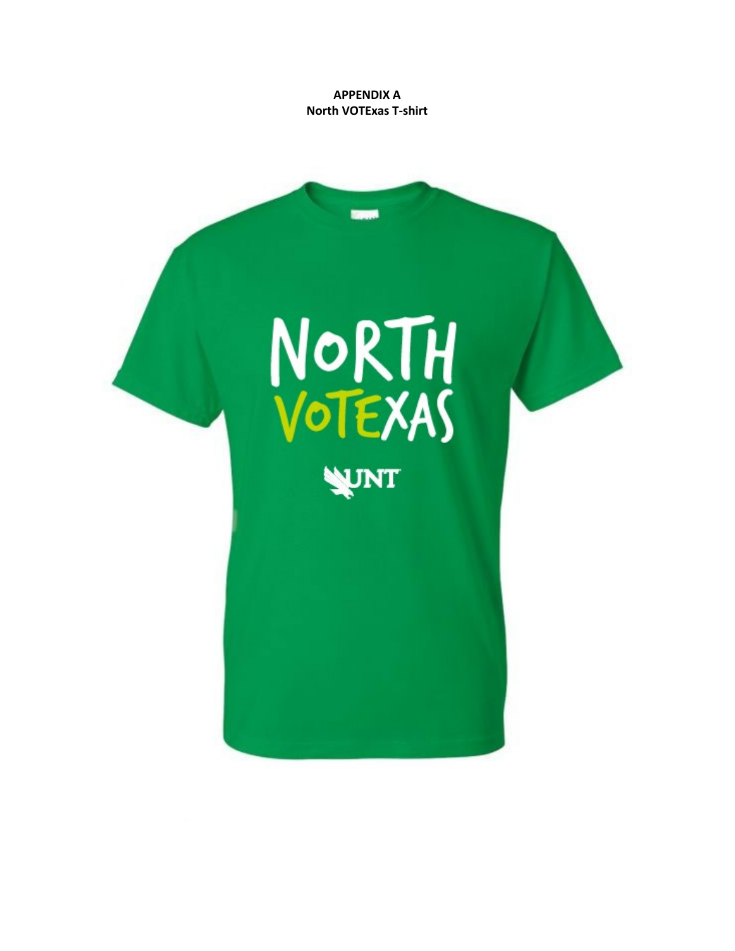**APPENDIX A North VOTExas T-shirt**

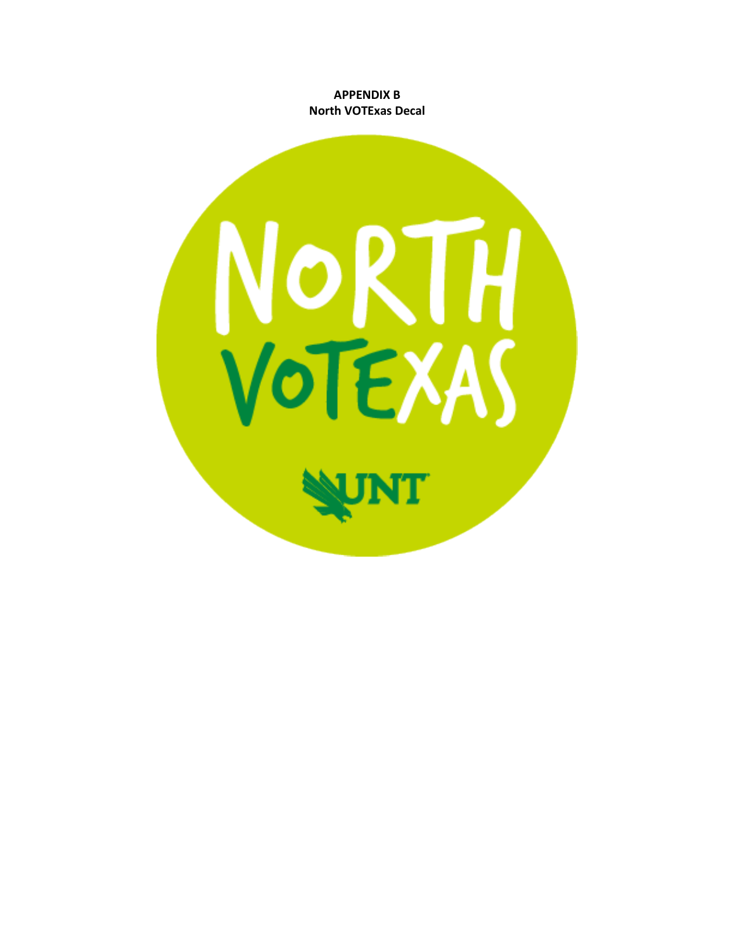**APPENDIX B North VOTExas Decal** 

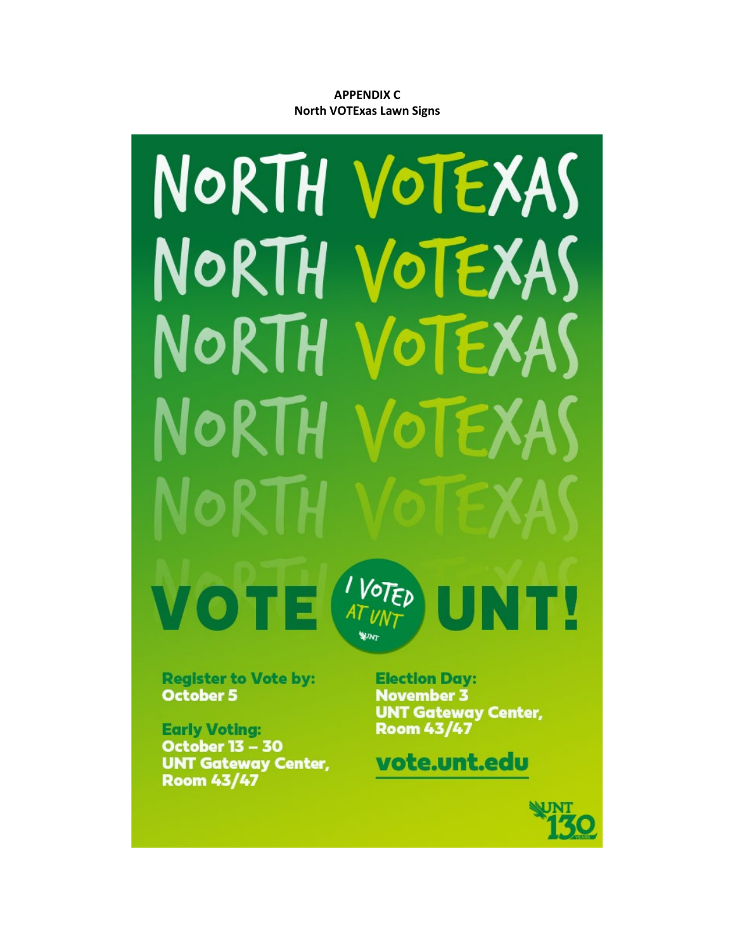## **APPENDIX C North VOTExas Lawn Signs**



**Register to Vote by: October 5** 

**Early Voting: October 13 - 30 UNT Gateway Center, Room 43/47** 

**Election Day: November 3 UNT Gateway Center, Room 43/47** 

# vote.unt.edu

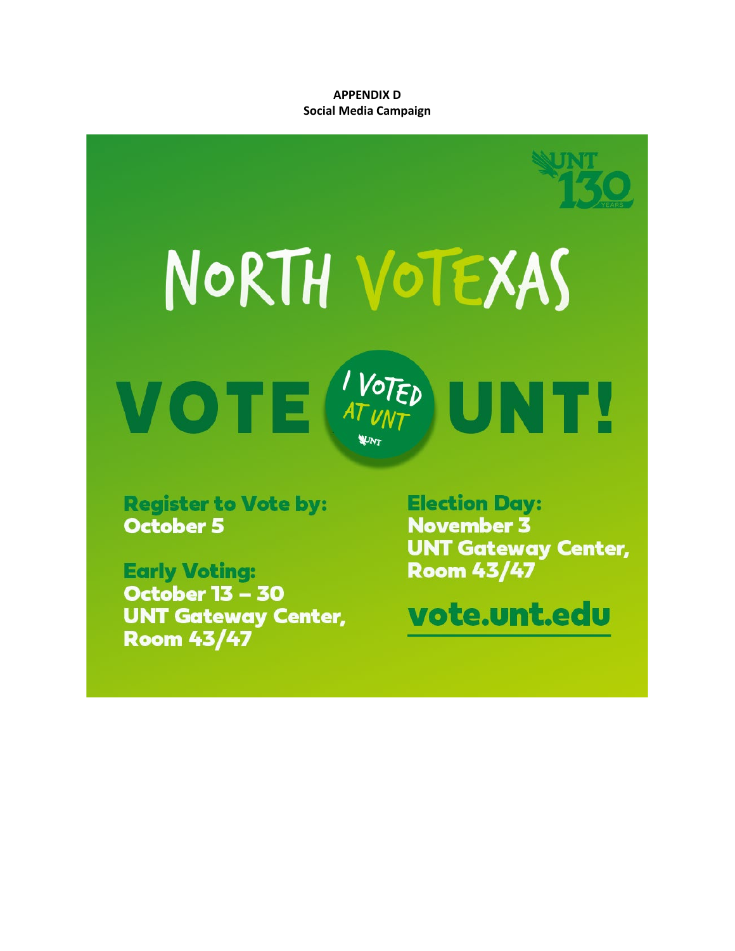**APPENDIX D Social Media Campaign** 



**Register to Vote by: October 5** 

**Early Voting: October 13 - 30 UNT Gateway Center, Room 43/47** 

**Election Day: November 3 UNT Gateway Center, Room 43/47** 

vote.unt.edu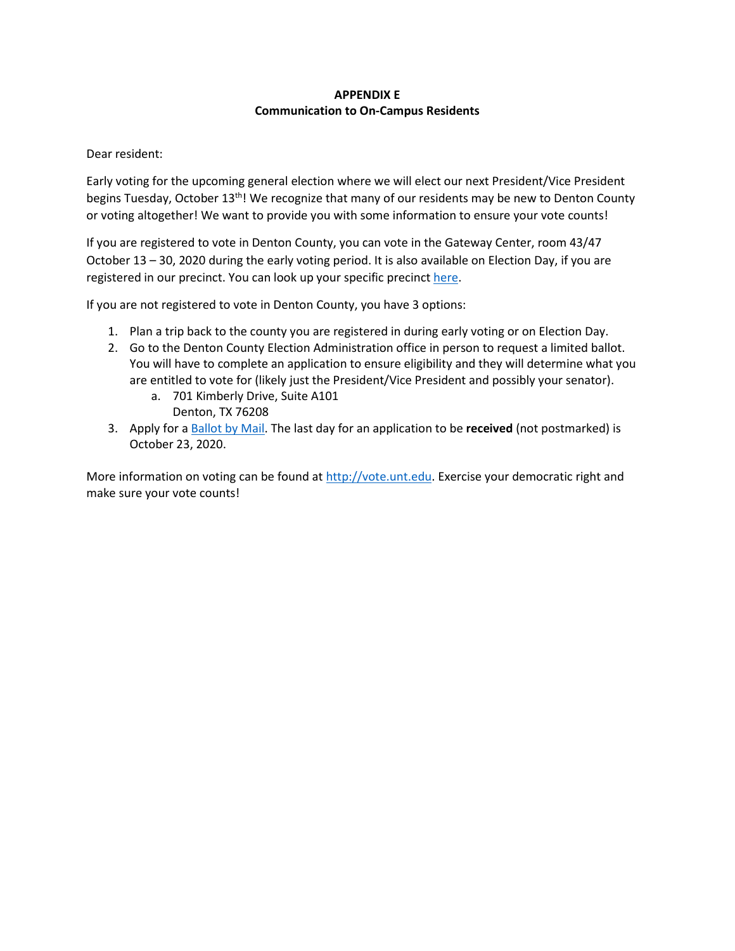## **APPENDIX E Communication to On-Campus Residents**

#### Dear resident:

Early voting for the upcoming general election where we will elect our next President/Vice President begins Tuesday, October 13<sup>th</sup>! We recognize that many of our residents may be new to Denton County or voting altogether! We want to provide you with some information to ensure your vote counts!

If you are registered to vote in Denton County, you can vote in the Gateway Center, room 43/47 October 13 – 30, 2020 during the early voting period. It is also available on Election Day, if you are registered in our precinct. You can look up your specific precinct [here.](https://www.votedenton.com/precinct-lookup-by-address/#Search)

If you are not registered to vote in Denton County, you have 3 options:

- 1. Plan a trip back to the county you are registered in during early voting or on Election Day.
- 2. Go to the Denton County Election Administration office in person to request a limited ballot. You will have to complete an application to ensure eligibility and they will determine what you are entitled to vote for (likely just the President/Vice President and possibly your senator).
	- a. 701 Kimberly Drive, Suite A101 Denton, TX 76208
- 3. Apply for a [Ballot by Mail.](https://webservices.sos.state.tx.us/forms/5-15f.pdf) The last day for an application to be **received** (not postmarked) is October 23, 2020.

More information on voting can be found a[t http://vote.unt.edu.](http://vote.unt.edu/) Exercise your democratic right and make sure your vote counts!